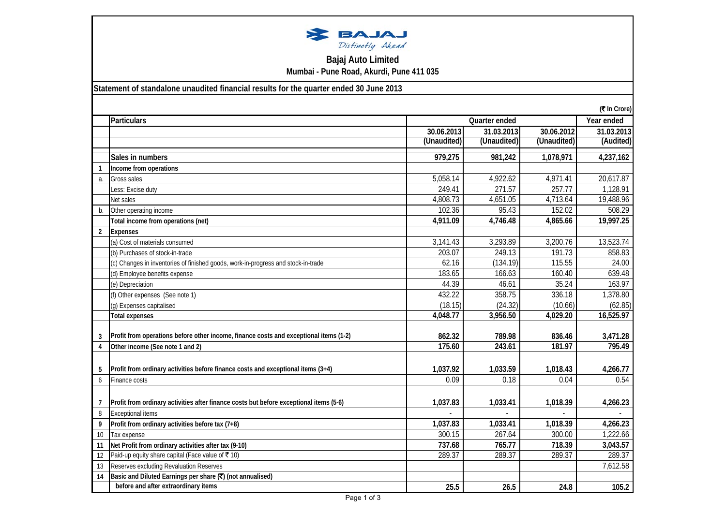

## **Bajaj Auto Limited Mumbai - Pune Road, Akurdi, Pune 411 035**

**Statement of standalone unaudited financial results for the quarter ended 30 June 2013**

|                | (₹ In Crore)                                                                           |             |               |             |            |
|----------------|----------------------------------------------------------------------------------------|-------------|---------------|-------------|------------|
|                | <b>Particulars</b>                                                                     |             | Quarter ended |             |            |
|                |                                                                                        | 30.06.2013  | 31.03.2013    | 30.06.2012  | 31.03.2013 |
|                |                                                                                        | (Unaudited) | (Unaudited)   | (Unaudited) | (Audited)  |
|                | Sales in numbers                                                                       | 979,275     | 981,242       | 1,078,971   | 4,237,162  |
| $\mathbf{1}$   | Income from operations                                                                 |             |               |             |            |
| a.             | Gross sales                                                                            | 5,058.14    | 4,922.62      | 4,971.41    | 20,617.87  |
|                | Less: Excise duty                                                                      | 249.41      | 271.57        | 257.77      | 1,128.91   |
|                | Net sales                                                                              | 4,808.73    | 4,651.05      | 4,713.64    | 19,488.96  |
| $b$            | Other operating income                                                                 | 102.36      | 95.43         | 152.02      | 508.29     |
|                | Total income from operations (net)                                                     | 4,911.09    | 4,746.48      | 4,865.66    | 19,997.25  |
| $\overline{2}$ | <b>Expenses</b>                                                                        |             |               |             |            |
|                | (a) Cost of materials consumed                                                         | 3,141.43    | 3,293.89      | 3,200.76    | 13,523.74  |
|                | (b) Purchases of stock-in-trade                                                        | 203.07      | 249.13        | 191.73      | 858.83     |
|                | (c) Changes in inventories of finished goods, work-in-progress and stock-in-trade      | 62.16       | (134.19)      | 115.55      | 24.00      |
|                | (d) Employee benefits expense                                                          | 183.65      | 166.63        | 160.40      | 639.48     |
|                | (e) Depreciation                                                                       | 44.39       | 46.61         | 35.24       | 163.97     |
|                | (f) Other expenses (See note 1)                                                        | 432.22      | 358.75        | 336.18      | 1,378.80   |
|                | (g) Expenses capitalised                                                               | (18.15)     | (24.32)       | (10.66)     | (62.85)    |
|                | <b>Total expenses</b>                                                                  | 4,048.77    | 3,956.50      | 4,029.20    | 16,525.97  |
|                |                                                                                        |             |               |             |            |
| 3              | Profit from operations before other income, finance costs and exceptional items (1-2)  | 862.32      | 789.98        | 836.46      | 3,471.28   |
| 4              | Other income (See note 1 and 2)                                                        | 175.60      | 243.61        | 181.97      | 795.49     |
|                |                                                                                        |             |               |             |            |
| 5              | Profit from ordinary activities before finance costs and exceptional items (3+4)       | 1,037.92    | 1,033.59      | 1,018.43    | 4,266.77   |
| 6              | Finance costs                                                                          | 0.09        | 0.18          | 0.04        | 0.54       |
|                |                                                                                        |             |               |             |            |
| $\overline{7}$ | Profit from ordinary activities after finance costs but before exceptional items (5-6) | 1,037.83    | 1,033.41      | 1,018.39    | 4,266.23   |
| 8              | <b>Exceptional items</b>                                                               |             |               |             |            |
| 9              | Profit from ordinary activities before tax (7+8)                                       | 1,037.83    | 1,033.41      | 1,018.39    | 4,266.23   |
| 10             | Tax expense                                                                            | 300.15      | 267.64        | 300.00      | 1,222.66   |
| 11             | Net Profit from ordinary activities after tax (9-10)                                   | 737.68      | 765.77        | 718.39      | 3,043.57   |
| 12             | Paid-up equity share capital (Face value of ₹10)                                       | 289.37      | 289.37        | 289.37      | 289.37     |
| 13             | Reserves excluding Revaluation Reserves                                                |             |               |             | 7,612.58   |
| 14             | Basic and Diluted Earnings per share (₹) (not annualised)                              |             |               |             |            |
|                | before and after extraordinary items                                                   | 25.5        | 26.5          | 24.8        | 105.2      |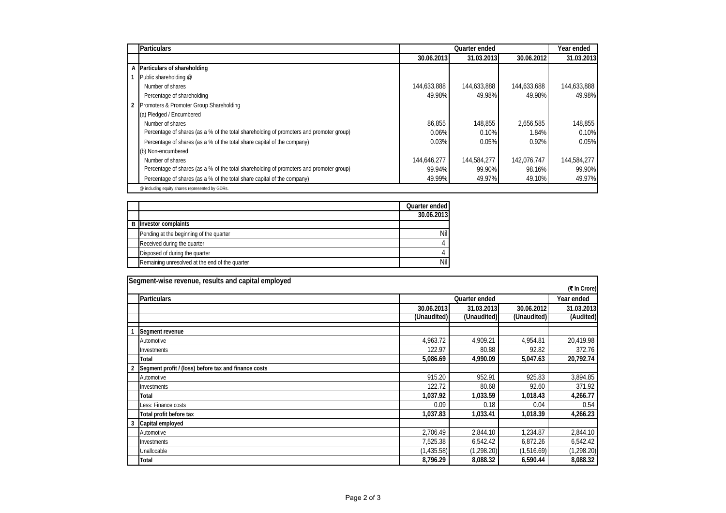|                | <b>Particulars</b>                                                                      | Quarter ended |             |             | Year ended  |  |
|----------------|-----------------------------------------------------------------------------------------|---------------|-------------|-------------|-------------|--|
|                |                                                                                         | 30.06.2013    | 31.03.2013  | 30.06.2012  | 31.03.2013  |  |
|                | A Particulars of shareholding                                                           |               |             |             |             |  |
|                | Public shareholding @                                                                   |               |             |             |             |  |
|                | Number of shares                                                                        | 144,633,888   | 144,633,888 | 144,633,688 | 144,633,888 |  |
|                | Percentage of shareholding                                                              | 49.98%        | 49.98%      | 49.98%      | 49.98%      |  |
| $\overline{2}$ | Promoters & Promoter Group Shareholding                                                 |               |             |             |             |  |
|                | (a) Pledged / Encumbered                                                                |               |             |             |             |  |
|                | Number of shares                                                                        | 86,855        | 148.855     | 2,656,585   | 148,855     |  |
|                | Percentage of shares (as a % of the total shareholding of promoters and promoter group) | 0.06%         | 0.10%       | 1.84%       | 0.10%       |  |
|                | Percentage of shares (as a % of the total share capital of the company)                 | 0.03%         | 0.05%       | 0.92%       | 0.05%       |  |
|                | (b) Non-encumbered                                                                      |               |             |             |             |  |
|                | Number of shares                                                                        | 144.646.277   | 144,584,277 | 142.076.747 | 144,584,277 |  |
|                | Percentage of shares (as a % of the total shareholding of promoters and promoter group) | 99.94%        | 99.90%      | 98.16%      | 99.90%      |  |
|                | Percentage of shares (as a % of the total share capital of the company)                 | 49.99%        | 49.97%      | 49.10%      | 49.97%      |  |
|                | @ including equity shares represented by GDRs.                                          |               |             |             |             |  |

|                                                | Quarter ended |
|------------------------------------------------|---------------|
|                                                | 30.06.2013    |
| <b>B</b> Investor complaints                   |               |
| Pending at the beginning of the quarter        | Nil           |
| Received during the quarter                    |               |
| Disposed of during the quarter                 |               |
| Remaining unresolved at the end of the quarter | Nil           |

|              | Segment-wise revenue, results and capital employed   |                             |             |             |             |  |
|--------------|------------------------------------------------------|-----------------------------|-------------|-------------|-------------|--|
| (₹ In Crore) |                                                      |                             |             |             |             |  |
|              | <b>Particulars</b>                                   | Year ended<br>Quarter ended |             |             |             |  |
|              |                                                      | 30.06.2013                  | 31.03.2013  | 30.06.2012  | 31.03.2013  |  |
|              |                                                      | (Unaudited)                 | (Unaudited) | (Unaudited) | (Audited)   |  |
|              | Segment revenue                                      |                             |             |             |             |  |
|              | Automotive                                           | 4,963.72                    | 4,909.21    | 4,954.81    | 20,419.98   |  |
|              | Investments                                          | 122.97                      | 80.88       | 92.82       | 372.76      |  |
|              | <b>Total</b>                                         | 5,086.69                    | 4,990.09    | 5,047.63    | 20,792.74   |  |
|              | Segment profit / (loss) before tax and finance costs |                             |             |             |             |  |
|              | Automotive                                           | 915.20                      | 952.91      | 925.83      | 3,894.85    |  |
|              | Investments                                          | 122.72                      | 80.68       | 92.60       | 371.92      |  |
|              | Total                                                | 1,037.92                    | 1,033.59    | 1,018.43    | 4,266.77    |  |
|              | Less: Finance costs                                  | 0.09                        | 0.18        | 0.04        | 0.54        |  |
|              | Total profit before tax                              | 1,037.83                    | 1,033.41    | 1,018.39    | 4,266.23    |  |
| 3            | Capital employed                                     |                             |             |             |             |  |
|              | Automotive                                           | 2.706.49                    | 2.844.10    | 1.234.87    | 2,844.10    |  |
|              | Investments                                          | 7,525.38                    | 6,542.42    | 6,872.26    | 6,542.42    |  |
|              | Unallocable                                          | (1,435.58)                  | (1,298.20)  | (1,516.69)  | (1, 298.20) |  |
|              | <b>Total</b>                                         | 8,796.29                    | 8,088.32    | 6,590.44    | 8,088.32    |  |